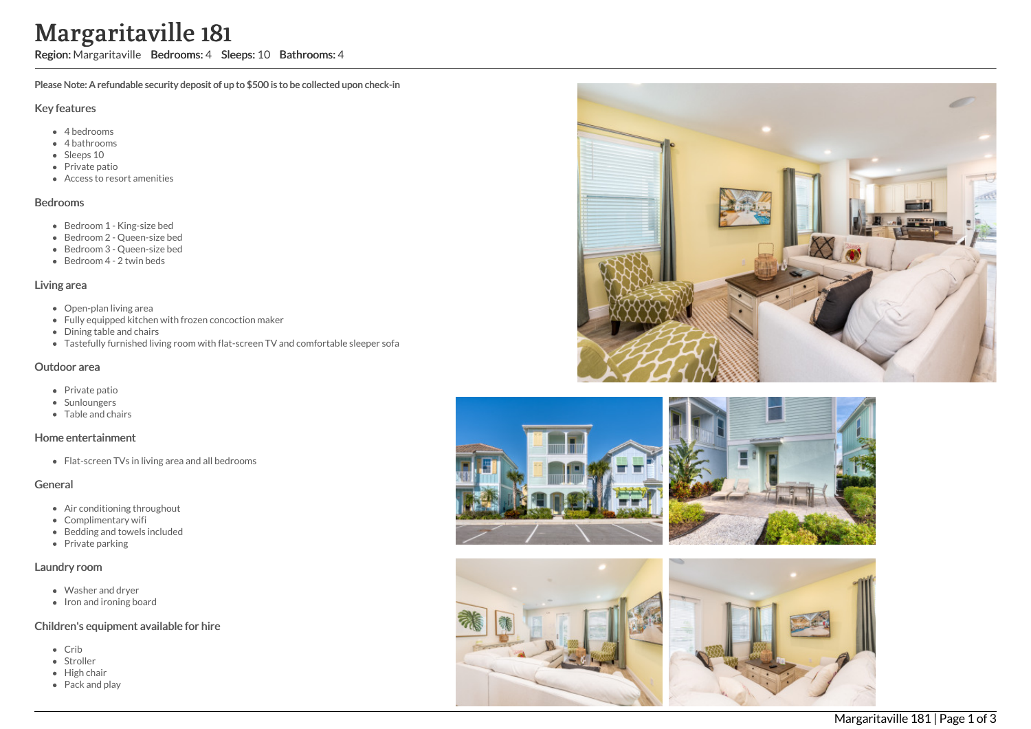# Margaritaville 181

Region: Margaritaville Bedrooms: 4 Sleeps: 10 Bathrooms: 4

Please Note: A refundable security deposit of up to \$500 is to be collected upon check-in

#### Key features

- 4 bedrooms
- 4 bathrooms
- Sleeps 10
- Private patio
- Access to resort amenities

## Bedrooms

- Bedroom 1 King-size bed
- Bedroom 2 Queen-size bed
- Bedroom 3 Queen-size bed
- Bedroom 4 2 twin beds

## Living area

- Open-plan living area
- Fully equipped kitchen with frozen concoction maker
- Dining table and chairs
- Tastefully furnished living room with flat-screen TV and comfortable sleeper sofa

#### Outdoor area

- Private patio
- Sunloungers
- Table and chairs

## Home entertainment

• Flat-screen TVs in living area and all bedrooms

#### General

- Air conditioning throughout
- Complimentary wifi
- Bedding and towels included
- $\bullet$  Private parking

## Laundry room

- Washer and dryer
- Iron and ironing board

# Children's equipment available for hire

- Crib
- Stroller
- $\bullet$  High chair
- Pack and play





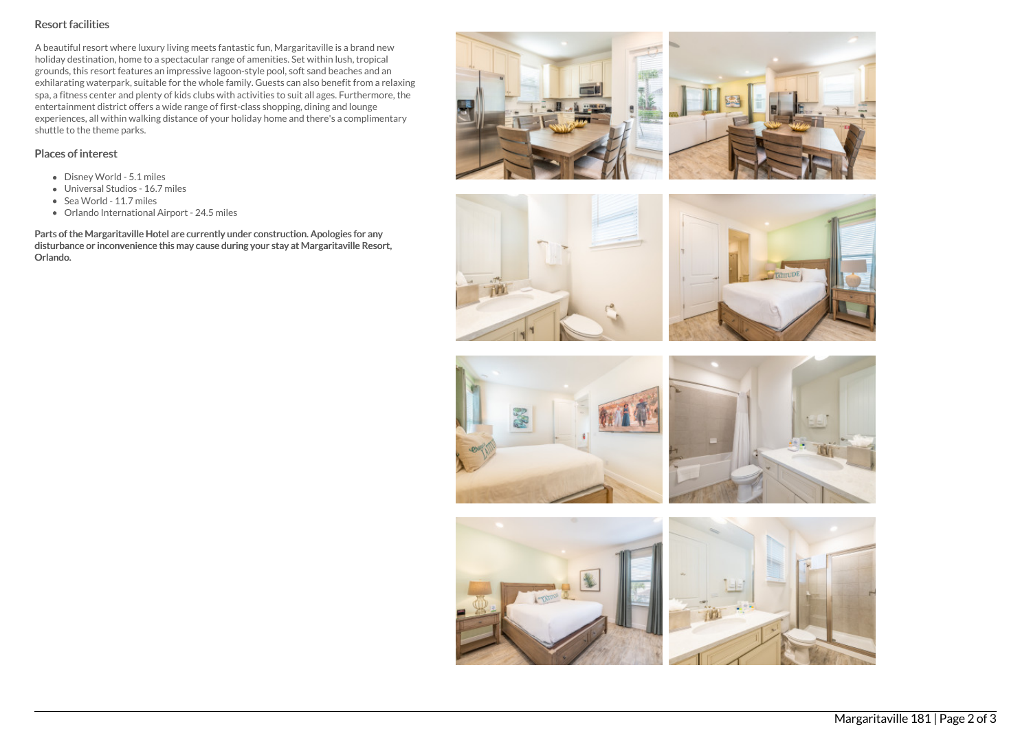# Resort facilities

A beautiful resort where luxury living meets fantastic fun, Margaritaville is a brand new holiday destination, home to a spectacular range of amenities. Set within lush, tropical grounds, this resort features an impressive lagoon-style pool, soft sand beaches and an exhilarating waterpark, suitable for the whole family. Guests can also benefit from a relaxing spa, a fitness center and plenty of kids clubs with activities to suit all ages. Furthermore, the entertainment district offers a wide range of first-class shopping, dining and lounge experiences, all within walking distance of your holiday home and there's a complimentary shuttle to the theme parks.

# Places of interest

- Disney World 5.1 miles
- Universal Studios 16.7 miles
- Sea World 11.7 miles
- Orlando International Airport 24.5 miles

Parts of the Margaritaville Hotel are currently under construction. Apologies for any disturbance or inconvenience this may cause during your stay at Margaritaville Resort, Orlando.